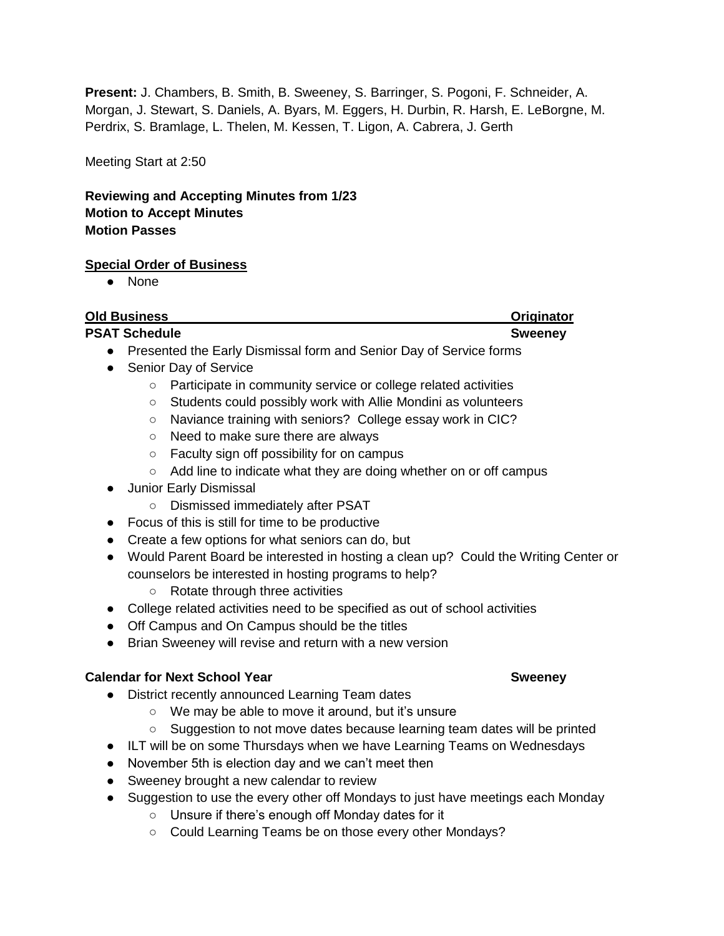**Present:** J. Chambers, B. Smith, B. Sweeney, S. Barringer, S. Pogoni, F. Schneider, A. Morgan, J. Stewart, S. Daniels, A. Byars, M. Eggers, H. Durbin, R. Harsh, E. LeBorgne, M. Perdrix, S. Bramlage, L. Thelen, M. Kessen, T. Ligon, A. Cabrera, J. Gerth

Meeting Start at 2:50

**Reviewing and Accepting Minutes from 1/23 Motion to Accept Minutes Motion Passes** 

### **Special Order of Business**

● None

| <b>Old Business</b>                                                                      | <b>Originator</b>                                                                   |
|------------------------------------------------------------------------------------------|-------------------------------------------------------------------------------------|
| <b>PSAT Schedule</b>                                                                     | <b>Sweeney</b>                                                                      |
| Presented the Early Dismissal form and Senior Day of Service forms<br>$\bullet$          |                                                                                     |
| Senior Day of Service<br>$\bullet$                                                       |                                                                                     |
| Participate in community service or college related activities<br>$\circ$                |                                                                                     |
| Students could possibly work with Allie Mondini as volunteers<br>$\circ$                 |                                                                                     |
| Naviance training with seniors? College essay work in CIC?<br>$\circ$                    |                                                                                     |
| Need to make sure there are always<br>$\circ$                                            |                                                                                     |
| Faculty sign off possibility for on campus<br>$\circ$                                    |                                                                                     |
| Add line to indicate what they are doing whether on or off campus<br>$\circ$             |                                                                                     |
| <b>Junior Early Dismissal</b>                                                            |                                                                                     |
| Dismissed immediately after PSAT<br>$\circ$                                              |                                                                                     |
| Focus of this is still for time to be productive<br>$\bullet$                            |                                                                                     |
| Create a few options for what seniors can do, but<br>$\bullet$                           |                                                                                     |
|                                                                                          | Would Parent Board be interested in hosting a clean up? Could the Writing Center or |
| counselors be interested in hosting programs to help?                                    |                                                                                     |
| Rotate through three activities<br>$\circ$                                               |                                                                                     |
| College related activities need to be specified as out of school activities<br>$\bullet$ |                                                                                     |
| Off Campus and On Campus should be the titles<br>$\bullet$                               |                                                                                     |
| Brian Sweeney will revise and return with a new version                                  |                                                                                     |
| <b>Calendar for Next School Year</b>                                                     | <b>Sweeney</b>                                                                      |
| District recently announced Learning Team dates                                          |                                                                                     |
| We may be able to move it around, but it's unsure<br>$\circ$                             |                                                                                     |
| $\circ$                                                                                  | Suggestion to not move dates because learning team dates will be printed            |
| ILT will be on some Thursdays when we have Learning Teams on Wednesdays                  |                                                                                     |

- November 5th is election day and we can't meet then
- Sweeney brought a new calendar to review
- Suggestion to use the every other off Mondays to just have meetings each Monday
	- Unsure if there's enough off Monday dates for it
	- Could Learning Teams be on those every other Mondays?